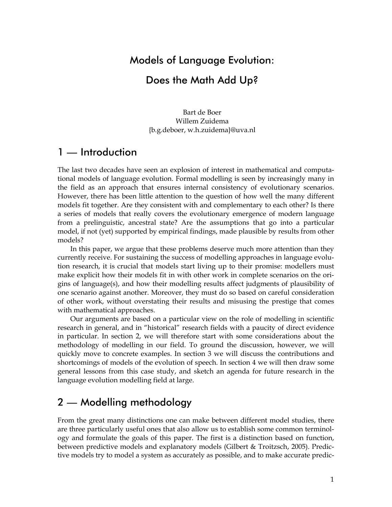### Models of Language Evolution:

### Does the Math Add Up?

Bart de Boer Willem Zuidema {b.g.deboer, w.h.zuidema}@uva.nl

## 1 — Introduction

The last two decades have seen an explosion of interest in mathematical and computational models of language evolution. Formal modelling is seen by increasingly many in the field as an approach that ensures internal consistency of evolutionary scenarios. However, there has been little attention to the question of how well the many different models fit together. Are they consistent with and complementary to each other? Is there a series of models that really covers the evolutionary emergence of modern language from a prelinguistic, ancestral state? Are the assumptions that go into a particular model, if not (yet) supported by empirical findings, made plausible by results from other models?

In this paper, we argue that these problems deserve much more attention than they currently receive. For sustaining the success of modelling approaches in language evolution research, it is crucial that models start living up to their promise: modellers must make explicit how their models fit in with other work in complete scenarios on the origins of language(s), and how their modelling results affect judgments of plausibility of one scenario against another. Moreover, they must do so based on careful consideration of other work, without overstating their results and misusing the prestige that comes with mathematical approaches.

Our arguments are based on a particular view on the role of modelling in scientific research in general, and in "historical" research fields with a paucity of direct evidence in particular. In section 2, we will therefore start with some considerations about the methodology of modelling in our field. To ground the discussion, however, we will quickly move to concrete examples. In section 3 we will discuss the contributions and shortcomings of models of the evolution of speech. In section 4 we will then draw some general lessons from this case study, and sketch an agenda for future research in the language evolution modelling field at large.

# 2 — Modelling methodology

From the great many distinctions one can make between different model studies, there are three particularly useful ones that also allow us to establish some common terminology and formulate the goals of this paper. The first is a distinction based on function, between predictive models and explanatory models (Gilbert & Troitzsch, 2005). Predictive models try to model a system as accurately as possible, and to make accurate predic-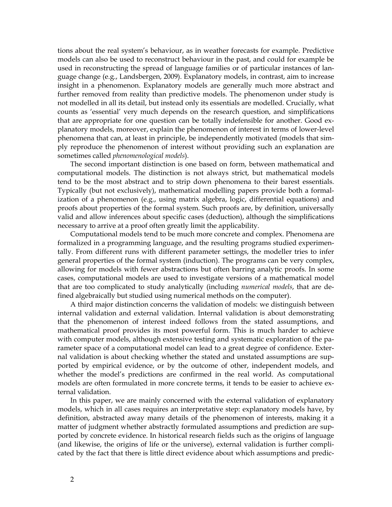tions about the real system's behaviour, as in weather forecasts for example. Predictive models can also be used to reconstruct behaviour in the past, and could for example be used in reconstructing the spread of language families or of particular instances of language change (e.g., Landsbergen, 2009). Explanatory models, in contrast, aim to increase insight in a phenomenon. Explanatory models are generally much more abstract and further removed from reality than predictive models. The phenomenon under study is not modelled in all its detail, but instead only its essentials are modelled. Crucially, what counts as 'essential' very much depends on the research question, and simplifications that are appropriate for one question can be totally indefensible for another. Good explanatory models, moreover, explain the phenomenon of interest in terms of lower-level phenomena that can, at least in principle, be independently motivated (models that simply reproduce the phenomenon of interest without providing such an explanation are sometimes called *phenomenological models*).

The second important distinction is one based on form, between mathematical and computational models. The distinction is not always strict, but mathematical models tend to be the most abstract and to strip down phenomena to their barest essentials. Typically (but not exclusively), mathematical modelling papers provide both a formalization of a phenomenon (e.g., using matrix algebra, logic, differential equations) and proofs about properties of the formal system. Such proofs are, by definition, universally valid and allow inferences about specific cases (deduction), although the simplifications necessary to arrive at a proof often greatly limit the applicability.

Computational models tend to be much more concrete and complex. Phenomena are formalized in a programming language, and the resulting programs studied experimentally. From different runs with different parameter settings, the modeller tries to infer general properties of the formal system (induction). The programs can be very complex, allowing for models with fewer abstractions but often barring analytic proofs. In some cases, computational models are used to investigate versions of a mathematical model that are too complicated to study analytically (including *numerical models*, that are defined algebraically but studied using numerical methods on the computer).

A third major distinction concerns the validation of models: we distinguish between internal validation and external validation. Internal validation is about demonstrating that the phenomenon of interest indeed follows from the stated assumptions, and mathematical proof provides its most powerful form. This is much harder to achieve with computer models, although extensive testing and systematic exploration of the parameter space of a computational model can lead to a great degree of confidence. External validation is about checking whether the stated and unstated assumptions are supported by empirical evidence, or by the outcome of other, independent models, and whether the model's predictions are confirmed in the real world. As computational models are often formulated in more concrete terms, it tends to be easier to achieve external validation.

In this paper, we are mainly concerned with the external validation of explanatory models, which in all cases requires an interpretative step: explanatory models have, by definition, abstracted away many details of the phenomenon of interests, making it a matter of judgment whether abstractly formulated assumptions and prediction are supported by concrete evidence. In historical research fields such as the origins of language (and likewise, the origins of life or the universe), external validation is further complicated by the fact that there is little direct evidence about which assumptions and predic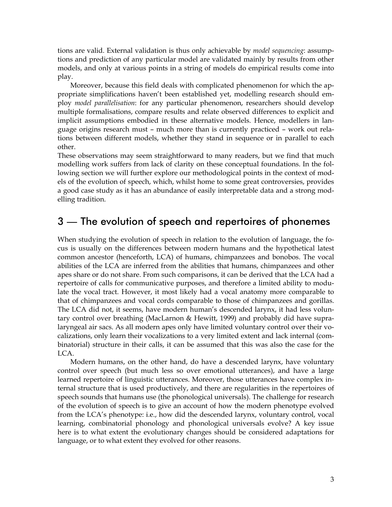tions are valid. External validation is thus only achievable by *model sequencing*: assumptions and prediction of any particular model are validated mainly by results from other models, and only at various points in a string of models do empirical results come into play.

Moreover, because this field deals with complicated phenomenon for which the appropriate simplifications haven't been established yet, modelling research should employ *model parallelisation*: for any particular phenomenon, researchers should develop multiple formalisations, compare results and relate observed differences to explicit and implicit assumptions embodied in these alternative models. Hence, modellers in language origins research must – much more than is currently practiced – work out relations between different models, whether they stand in sequence or in parallel to each other.

These observations may seem straightforward to many readers, but we find that much modelling work suffers from lack of clarity on these conceptual foundations. In the following section we will further explore our methodological points in the context of models of the evolution of speech, which, whilst home to some great controversies, provides a good case study as it has an abundance of easily interpretable data and a strong modelling tradition.

#### 3 — The evolution of speech and repertoires of phonemes

When studying the evolution of speech in relation to the evolution of language, the focus is usually on the differences between modern humans and the hypothetical latest common ancestor (henceforth, LCA) of humans, chimpanzees and bonobos. The vocal abilities of the LCA are inferred from the abilities that humans, chimpanzees and other apes share or do not share. From such comparisons, it can be derived that the LCA had a repertoire of calls for communicative purposes, and therefore a limited ability to modulate the vocal tract. However, it most likely had a vocal anatomy more comparable to that of chimpanzees and vocal cords comparable to those of chimpanzees and gorillas. The LCA did not, it seems, have modern human's descended larynx, it had less voluntary control over breathing (MacLarnon & Hewitt, 1999) and probably did have supralaryngeal air sacs. As all modern apes only have limited voluntary control over their vocalizations, only learn their vocalizations to a very limited extent and lack internal (combinatorial) structure in their calls, it can be assumed that this was also the case for the LCA.

Modern humans, on the other hand, do have a descended larynx, have voluntary control over speech (but much less so over emotional utterances), and have a large learned repertoire of linguistic utterances. Moreover, those utterances have complex internal structure that is used productively, and there are regularities in the repertoires of speech sounds that humans use (the phonological universals). The challenge for research of the evolution of speech is to give an account of how the modern phenotype evolved from the LCA's phenotype: i.e., how did the descended larynx, voluntary control, vocal learning, combinatorial phonology and phonological universals evolve? A key issue here is to what extent the evolutionary changes should be considered adaptations for language, or to what extent they evolved for other reasons.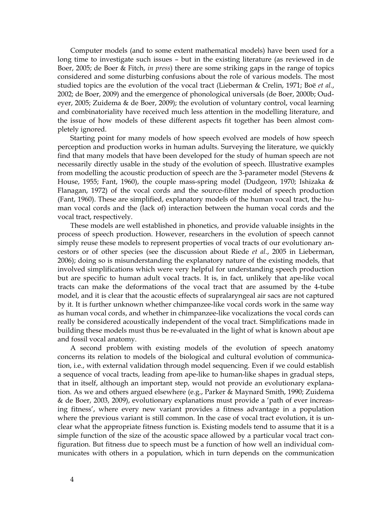Computer models (and to some extent mathematical models) have been used for a long time to investigate such issues – but in the existing literature (as reviewed in de Boer, 2005; de Boer & Fitch, *in press*) there are some striking gaps in the range of topics considered and some disturbing confusions about the role of various models. The most studied topics are the evolution of the vocal tract (Lieberman & Crelin, 1971; Boë *et al.*, 2002; de Boer, 2009) and the emergence of phonological universals (de Boer, 2000b; Oudeyer, 2005; Zuidema & de Boer, 2009); the evolution of voluntary control, vocal learning and combinatoriality have received much less attention in the modelling literature, and the issue of how models of these different aspects fit together has been almost completely ignored.

Starting point for many models of how speech evolved are models of how speech perception and production works in human adults. Surveying the literature, we quickly find that many models that have been developed for the study of human speech are not necessarily directly usable in the study of the evolution of speech. Illustrative examples from modelling the acoustic production of speech are the 3-parameter model (Stevens & House, 1955; Fant, 1960), the couple mass-spring model (Dudgeon, 1970; Ishizaka & Flanagan, 1972) of the vocal cords and the source-filter model of speech production (Fant, 1960). These are simplified, explanatory models of the human vocal tract, the human vocal cords and the (lack of) interaction between the human vocal cords and the vocal tract, respectively.

These models are well established in phonetics, and provide valuable insights in the process of speech production. However, researchers in the evolution of speech cannot simply reuse these models to represent properties of vocal tracts of our evolutionary ancestors or of other species (see the discussion about Riede *et al.*, 2005 in Lieberman, 2006); doing so is misunderstanding the explanatory nature of the existing models, that involved simplifications which were very helpful for understanding speech production but are specific to human adult vocal tracts. It is, in fact, unlikely that ape-like vocal tracts can make the deformations of the vocal tract that are assumed by the 4-tube model, and it is clear that the acoustic effects of supralaryngeal air sacs are not captured by it. It is further unknown whether chimpanzee-like vocal cords work in the same way as human vocal cords, and whether in chimpanzee-like vocalizations the vocal cords can really be considered acoustically independent of the vocal tract. Simplifications made in building these models must thus be re-evaluated in the light of what is known about ape and fossil vocal anatomy.

A second problem with existing models of the evolution of speech anatomy concerns its relation to models of the biological and cultural evolution of communication, i.e., with external validation through model sequencing. Even if we could establish a sequence of vocal tracts, leading from ape-like to human-like shapes in gradual steps, that in itself, although an important step, would not provide an evolutionary explanation. As we and others argued elsewhere (e.g., Parker & Maynard Smith, 1990; Zuidema & de Boer, 2003, 2009), evolutionary explanations must provide a 'path of ever increasing fitness', where every new variant provides a fitness advantage in a population where the previous variant is still common. In the case of vocal tract evolution, it is unclear what the appropriate fitness function is. Existing models tend to assume that it is a simple function of the size of the acoustic space allowed by a particular vocal tract configuration. But fitness due to speech must be a function of how well an individual communicates with others in a population, which in turn depends on the communication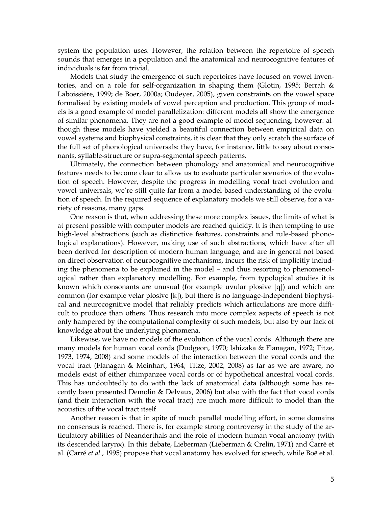system the population uses. However, the relation between the repertoire of speech sounds that emerges in a population and the anatomical and neurocognitive features of individuals is far from trivial.

Models that study the emergence of such repertoires have focused on vowel inventories, and on a role for self-organization in shaping them (Glotin, 1995; Berrah & Laboissière, 1999; de Boer, 2000a; Oudeyer, 2005), given constraints on the vowel space formalised by existing models of vowel perception and production. This group of models is a good example of model parallelization: different models all show the emergence of similar phenomena. They are not a good example of model sequencing, however: although these models have yielded a beautiful connection between empirical data on vowel systems and biophysical constraints, it is clear that they only scratch the surface of the full set of phonological universals: they have, for instance, little to say about consonants, syllable-structure or supra-segmental speech patterns.

Ultimately, the connection between phonology and anatomical and neurocognitive features needs to become clear to allow us to evaluate particular scenarios of the evolution of speech. However, despite the progress in modelling vocal tract evolution and vowel universals, we're still quite far from a model-based understanding of the evolution of speech. In the required sequence of explanatory models we still observe, for a variety of reasons, many gaps.

One reason is that, when addressing these more complex issues, the limits of what is at present possible with computer models are reached quickly. It is then tempting to use high-level abstractions (such as distinctive features, constraints and rule-based phonological explanations). However, making use of such abstractions, which have after all been derived for description of modern human language, and are in general not based on direct observation of neurocognitive mechanisms, incurs the risk of implicitly including the phenomena to be explained in the model – and thus resorting to phenomenological rather than explanatory modelling. For example, from typological studies it is known which consonants are unusual (for example uvular plosive [q]) and which are common (for example velar plosive [k]), but there is no language-independent biophysical and neurocognitive model that reliably predicts which articulations are more difficult to produce than others. Thus research into more complex aspects of speech is not only hampered by the computational complexity of such models, but also by our lack of knowledge about the underlying phenomena.

Likewise, we have no models of the evolution of the vocal cords. Although there are many models for human vocal cords (Dudgeon, 1970; Ishizaka & Flanagan, 1972; Titze, 1973, 1974, 2008) and some models of the interaction between the vocal cords and the vocal tract (Flanagan & Meinhart, 1964; Titze, 2002, 2008) as far as we are aware, no models exist of either chimpanzee vocal cords or of hypothetical ancestral vocal cords. This has undoubtedly to do with the lack of anatomical data (although some has recently been presented Demolin & Delvaux, 2006) but also with the fact that vocal cords (and their interaction with the vocal tract) are much more difficult to model than the acoustics of the vocal tract itself.

Another reason is that in spite of much parallel modelling effort, in some domains no consensus is reached. There is, for example strong controversy in the study of the articulatory abilities of Neanderthals and the role of modern human vocal anatomy (with its descended larynx). In this debate, Lieberman (Lieberman & Crelin, 1971) and Carré et al. (Carré *et al.*, 1995) propose that vocal anatomy has evolved for speech, while Boë et al.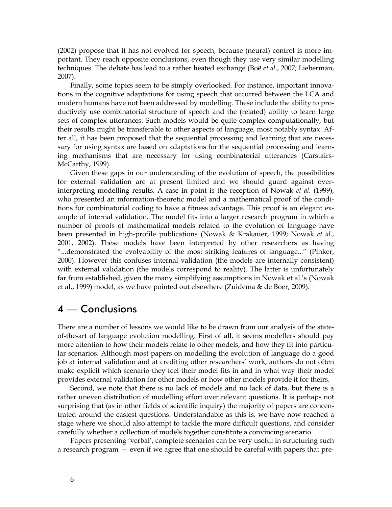(2002) propose that it has not evolved for speech, because (neural) control is more important. They reach opposite conclusions, even though they use very similar modelling techniques. The debate has lead to a rather heated exchange (Boë *et al.*, 2007; Lieberman, 2007).

Finally, some topics seem to be simply overlooked. For instance, important innovations in the cognitive adaptations for using speech that occurred between the LCA and modern humans have not been addressed by modelling. These include the ability to productively use combinatorial structure of speech and the (related) ability to learn large sets of complex utterances. Such models would be quite complex computationally, but their results might be transferable to other aspects of language, most notably syntax. After all, it has been proposed that the sequential processing and learning that are necessary for using syntax are based on adaptations for the sequential processing and learning mechanisms that are necessary for using combinatorial utterances (Carstairs-McCarthy, 1999).

Given these gaps in our understanding of the evolution of speech, the possibilities for external validation are at present limited and we should guard against overinterpreting modelling results. A case in point is the reception of Nowak *et al.* (1999), who presented an information-theoretic model and a mathematical proof of the conditions for combinatorial coding to have a fitness advantage. This proof is an elegant example of internal validation. The model fits into a larger research program in which a number of proofs of mathematical models related to the evolution of language have been presented in high-profile publications (Nowak & Krakauer, 1999; Nowak *et al.*, 2001, 2002). These models have been interpreted by other researchers as having "...demonstrated the evolvability of the most striking features of language..." (Pinker, 2000). However this confuses internal validation (the models are internally consistent) with external validation (the models correspond to reality). The latter is unfortunately far from established, given the many simplifying assumptions in Nowak et al.'s (Nowak et al., 1999) model, as we have pointed out elsewhere (Zuidema & de Boer, 2009).

#### 4 — Conclusions

There are a number of lessons we would like to be drawn from our analysis of the stateof-the-art of language evolution modelling. First of all, it seems modellers should pay more attention to how their models relate to other models, and how they fit into particular scenarios. Although most papers on modelling the evolution of language do a good job at internal validation and at crediting other researchers' work, authors do not often make explicit which scenario they feel their model fits in and in what way their model provides external validation for other models or how other models provide it for theirs.

Second, we note that there is no lack of models and no lack of data, but there is a rather uneven distribution of modelling effort over relevant questions. It is perhaps not surprising that (as in other fields of scientific inquiry) the majority of papers are concentrated around the easiest questions. Understandable as this is, we have now reached a stage where we should also attempt to tackle the more difficult questions, and consider carefully whether a collection of models together constitute a convincing scenario.

Papers presenting 'verbal', complete scenarios can be very useful in structuring such a research program — even if we agree that one should be careful with papers that pre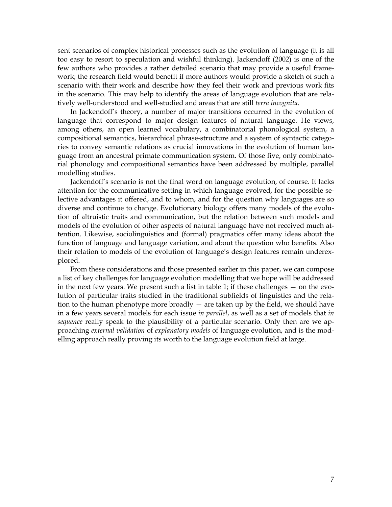sent scenarios of complex historical processes such as the evolution of language (it is all too easy to resort to speculation and wishful thinking). Jackendoff (2002) is one of the few authors who provides a rather detailed scenario that may provide a useful framework; the research field would benefit if more authors would provide a sketch of such a scenario with their work and describe how they feel their work and previous work fits in the scenario. This may help to identify the areas of language evolution that are relatively well-understood and well-studied and areas that are still *terra incognita*.

In Jackendoff's theory, a number of major transitions occurred in the evolution of language that correspond to major design features of natural language. He views, among others, an open learned vocabulary, a combinatorial phonological system, a compositional semantics, hierarchical phrase-structure and a system of syntactic categories to convey semantic relations as crucial innovations in the evolution of human language from an ancestral primate communication system. Of those five, only combinatorial phonology and compositional semantics have been addressed by multiple, parallel modelling studies.

Jackendoff's scenario is not the final word on language evolution, of course. It lacks attention for the communicative setting in which language evolved, for the possible selective advantages it offered, and to whom, and for the question why languages are so diverse and continue to change. Evolutionary biology offers many models of the evolution of altruistic traits and communication, but the relation between such models and models of the evolution of other aspects of natural language have not received much attention. Likewise, sociolinguistics and (formal) pragmatics offer many ideas about the function of language and language variation, and about the question who benefits. Also their relation to models of the evolution of language's design features remain underexplored.

From these considerations and those presented earlier in this paper, we can compose a list of key challenges for language evolution modelling that we hope will be addressed in the next few years. We present such a list in table 1; if these challenges — on the evolution of particular traits studied in the traditional subfields of linguistics and the relation to the human phenotype more broadly  $-$  are taken up by the field, we should have in a few years several models for each issue *in parallel*, as well as a set of models that *in sequence* really speak to the plausibility of a particular scenario. Only then are we approaching *external validation* of *explanatory models* of language evolution, and is the modelling approach really proving its worth to the language evolution field at large.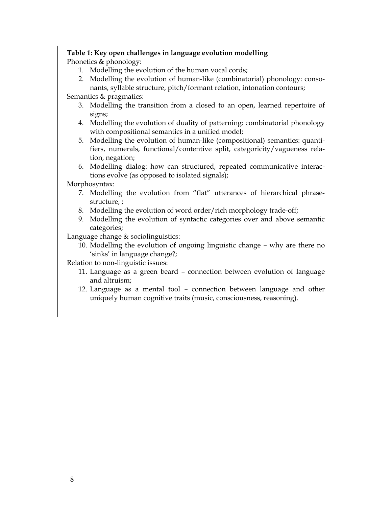#### **Table 1: Key open challenges in language evolution modelling**  Phonetics & phonology:

- 1. Modelling the evolution of the human vocal cords;
- 2. Modelling the evolution of human-like (combinatorial) phonology: consonants, syllable structure, pitch/formant relation, intonation contours;

Semantics & pragmatics:

- 3. Modelling the transition from a closed to an open, learned repertoire of signs;
- 4. Modelling the evolution of duality of patterning: combinatorial phonology with compositional semantics in a unified model;
- 5. Modelling the evolution of human-like (compositional) semantics: quantifiers, numerals, functional/contentive split, categoricity/vagueness relation, negation;
- 6. Modelling dialog: how can structured, repeated communicative interactions evolve (as opposed to isolated signals);

Morphosyntax:

- 7. Modelling the evolution from "flat" utterances of hierarchical phrasestructure, ;
- 8. Modelling the evolution of word order/rich morphology trade-off;
- 9. Modelling the evolution of syntactic categories over and above semantic categories;

Language change & sociolinguistics:

10. Modelling the evolution of ongoing linguistic change – why are there no 'sinks' in language change?;

Relation to non-linguistic issues:

- 11. Language as a green beard connection between evolution of language and altruism;
- 12. Language as a mental tool connection between language and other uniquely human cognitive traits (music, consciousness, reasoning).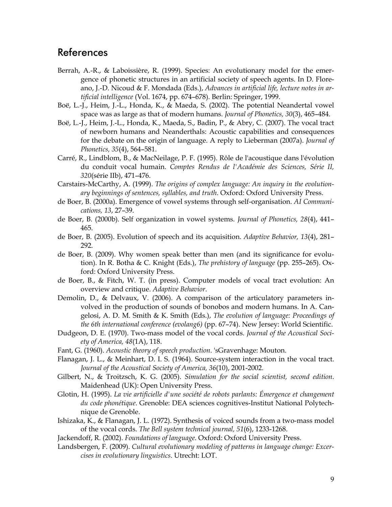#### References

- Berrah, A.-R., & Laboissière, R. (1999). Species: An evolutionary model for the emergence of phonetic structures in an artificial society of speech agents. In D. Floreano, J.-D. Nicoud & F. Mondada (Eds.), *Advances in artificial life, lecture notes in artificial intelligence* (Vol. 1674, pp. 674–678). Berlin: Springer, 1999.
- Boë, L.-J., Heim, J.-L., Honda, K., & Maeda, S. (2002). The potential Neandertal vowel space was as large as that of modern humans. *Journal of Phonetics, 30*(3), 465–484.
- Boë, L.-J., Heim, J.-L., Honda, K., Maeda, S., Badin, P., & Abry, C. (2007). The vocal tract of newborn humans and Neanderthals: Acoustic capabilities and consequences for the debate on the origin of language. A reply to Lieberman (2007a). *Journal of Phonetics, 35*(4), 564–581.
- Carré, R., Lindblom, B., & MacNeilage, P. F. (1995). Rôle de l'acoustique dans l'évolution du conduit vocal humain. *Comptes Rendus de l'Académie des Sciences, Série II, 320*(série IIb), 471–476.
- Carstairs-McCarthy, A. (1999). *The origins of complex language: An inquiry in the evolutionary beginnings of sentences, syllables, and truth*. Oxford: Oxford University Press.
- de Boer, B. (2000a). Emergence of vowel systems through self-organisation. *AI Communications, 13*, 27–39.
- de Boer, B. (2000b). Self organization in vowel systems. *Journal of Phonetics, 28*(4), 441– 465.
- de Boer, B. (2005). Evolution of speech and its acquisition. *Adaptive Behavior, 13*(4), 281– 292.
- de Boer, B. (2009). Why women speak better than men (and its significance for evolution). In R. Botha & C. Knight (Eds.), *The prehistory of language* (pp. 255–265). Oxford: Oxford University Press.
- de Boer, B., & Fitch, W. T. (in press). Computer models of vocal tract evolution: An overview and critique. *Adaptive Behavior*.
- Demolin, D., & Delvaux, V. (2006). A comparison of the articulatory parameters involved in the production of sounds of bonobos and modern humans. In A. Cangelosi, A. D. M. Smith & K. Smith (Eds.), *The evolution of language: Proceedings of the 6th international conference (evolang6)* (pp. 67–74). New Jersey: World Scientific.
- Dudgeon, D. E. (1970). Two-mass model of the vocal cords. *Journal of the Acoustical Society of America, 48*(1A), 118.
- Fant, G. (1960). *Acoustic theory of speech production*. 'sGravenhage: Mouton.
- Flanagan, J. L., & Meinhart, D. I. S. (1964). Source-system interaction in the vocal tract. *Journal of the Acoustical Society of America, 36*(10), 2001-2002.
- Gilbert, N., & Troitzsch, K. G. (2005). *Simulation for the social scientist, second edition*. Maidenhead (UK): Open University Press.
- Glotin, H. (1995). *La vie artificielle d'une société de robots parlants: Émergence et changement du code phonétique*. Grenoble: DEA sciences cognitives-Institut National Polytechnique de Grenoble.
- Ishizaka, K., & Flanagan, J. L. (1972). Synthesis of voiced sounds from a two-mass model of the vocal cords. *The Bell system technical journal, 51*(6), 1233-1268.
- Jackendoff, R. (2002). *Foundations of language*. Oxford: Oxford University Press.
- Landsbergen, F. (2009). *Cultural evolutionary modeling of patterns in language change: Excercises in evolutionary linguistics*. Utrecht: LOT.